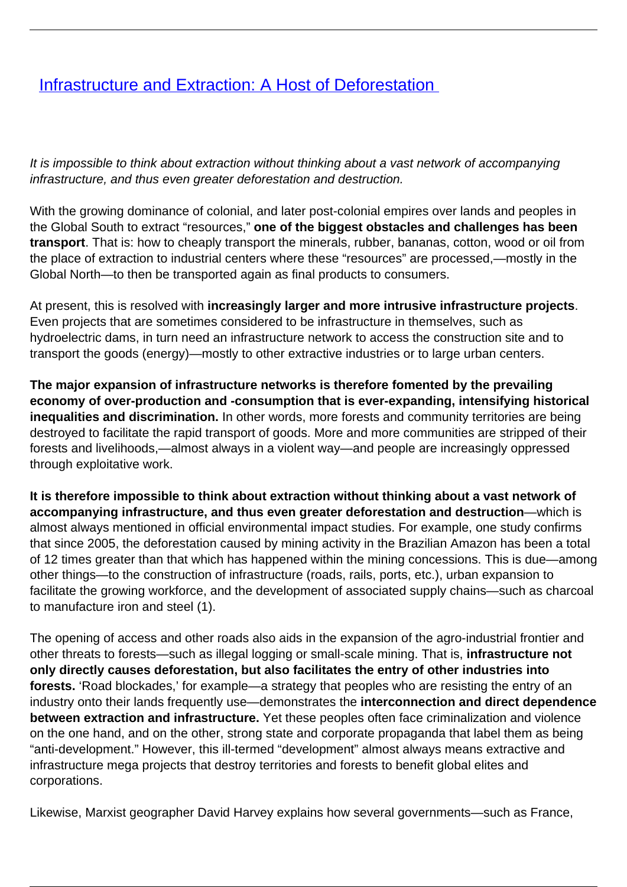## [Infrastructure and Extraction: A Host of Deforestation](/bulletin-articles/infrastructure-and-extraction-a-host-of-deforestation)

It is impossible to think about extraction without thinking about a vast network of accompanying infrastructure, and thus even greater deforestation and destruction.

With the growing dominance of colonial, and later post-colonial empires over lands and peoples in the Global South to extract "resources," **one of the biggest obstacles and challenges has been transport**. That is: how to cheaply transport the minerals, rubber, bananas, cotton, wood or oil from the place of extraction to industrial centers where these "resources" are processed,—mostly in the Global North—to then be transported again as final products to consumers.

At present, this is resolved with **increasingly larger and more intrusive infrastructure projects**. Even projects that are sometimes considered to be infrastructure in themselves, such as hydroelectric dams, in turn need an infrastructure network to access the construction site and to transport the goods (energy)—mostly to other extractive industries or to large urban centers.

**The major expansion of infrastructure networks is therefore fomented by the prevailing economy of over-production and -consumption that is ever-expanding, intensifying historical inequalities and discrimination.** In other words, more forests and community territories are being destroyed to facilitate the rapid transport of goods. More and more communities are stripped of their forests and livelihoods,—almost always in a violent way—and people are increasingly oppressed through exploitative work.

**It is therefore impossible to think about extraction without thinking about a vast network of accompanying infrastructure, and thus even greater deforestation and destruction**—which is almost always mentioned in official environmental impact studies. For example, one study confirms that since 2005, the deforestation caused by mining activity in the Brazilian Amazon has been a total of 12 times greater than that which has happened within the mining concessions. This is due—among other things—to the construction of infrastructure (roads, rails, ports, etc.), urban expansion to facilitate the growing workforce, and the development of associated supply chains—such as charcoal to manufacture iron and steel (1).

The opening of access and other roads also aids in the expansion of the agro-industrial frontier and other threats to forests—such as illegal logging or small-scale mining. That is, **infrastructure not only directly causes deforestation, but also facilitates the entry of other industries into forests.** 'Road blockades,' for example—a strategy that peoples who are resisting the entry of an industry onto their lands frequently use—demonstrates the **interconnection and direct dependence between extraction and infrastructure.** Yet these peoples often face criminalization and violence on the one hand, and on the other, strong state and corporate propaganda that label them as being "anti-development." However, this ill-termed "development" almost always means extractive and infrastructure mega projects that destroy territories and forests to benefit global elites and corporations.

Likewise, Marxist geographer David Harvey explains how several governments—such as France,